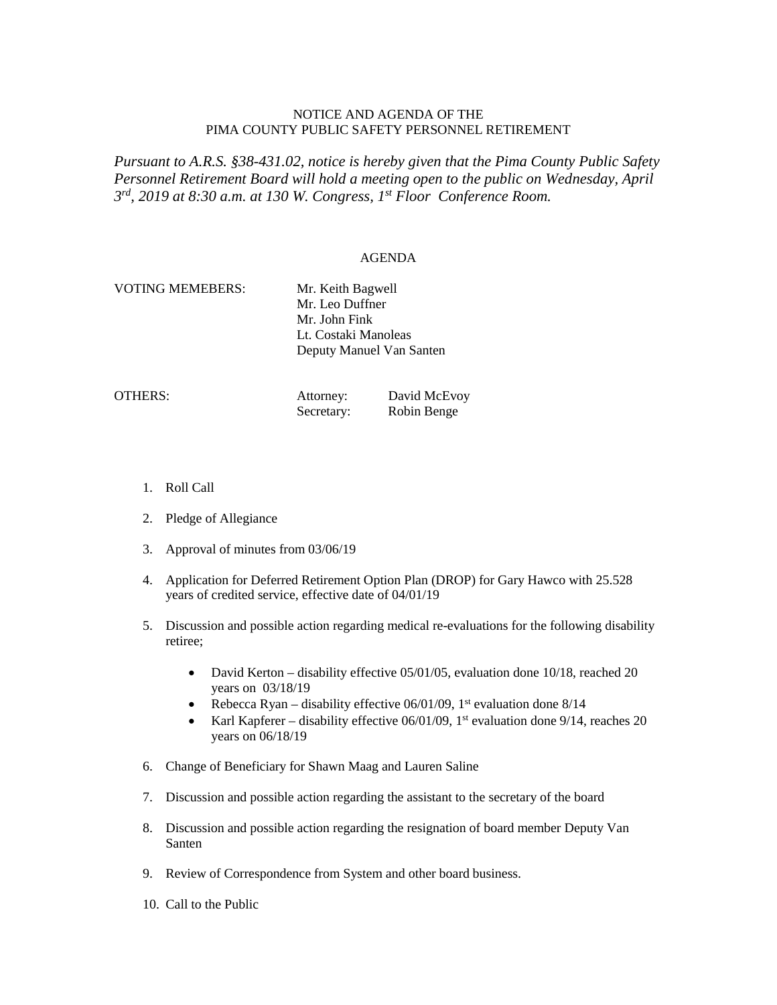## NOTICE AND AGENDA OF THE PIMA COUNTY PUBLIC SAFETY PERSONNEL RETIREMENT

*Pursuant to A.R.S. §38-431.02, notice is hereby given that the Pima County Public Safety Personnel Retirement Board will hold a meeting open to the public on Wednesday, April 3rd, 2019 at 8:30 a.m. at 130 W. Congress, 1st Floor Conference Room.*

## AGENDA

| <b>VOTING MEMEBERS:</b> | Mr. Keith Bagwell        |  |
|-------------------------|--------------------------|--|
|                         | Mr. Leo Duffner          |  |
|                         | Mr. John Fink            |  |
|                         | Lt. Costaki Manoleas     |  |
|                         | Deputy Manuel Van Santen |  |
|                         |                          |  |

| OTHERS: | Attorney:  | David McEvoy |
|---------|------------|--------------|
|         | Secretary: | Robin Benge  |

- 1. Roll Call
- 2. Pledge of Allegiance
- 3. Approval of minutes from 03/06/19
- 4. Application for Deferred Retirement Option Plan (DROP) for Gary Hawco with 25.528 years of credited service, effective date of 04/01/19
- 5. Discussion and possible action regarding medical re-evaluations for the following disability retiree;
	- David Kerton disability effective 05/01/05, evaluation done 10/18, reached 20 years on 03/18/19
	- Rebecca Ryan disability effective  $06/01/09$ , 1<sup>st</sup> evaluation done  $8/14$
	- Karl Kapferer disability effective  $06/01/09$ , 1<sup>st</sup> evaluation done  $9/14$ , reaches 20 years on 06/18/19
- 6. Change of Beneficiary for Shawn Maag and Lauren Saline
- 7. Discussion and possible action regarding the assistant to the secretary of the board
- 8. Discussion and possible action regarding the resignation of board member Deputy Van Santen
- 9. Review of Correspondence from System and other board business.
- 10. Call to the Public